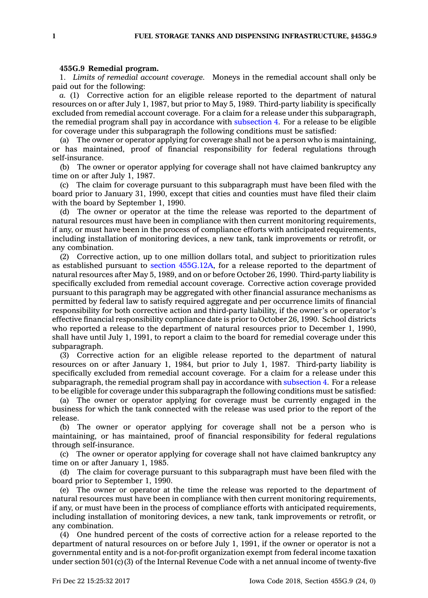## **455G.9 Remedial program.**

1. *Limits of remedial account coverage.* Moneys in the remedial account shall only be paid out for the following:

*a.* (1) Corrective action for an eligible release reported to the department of natural resources on or after July 1, 1987, but prior to May 5, 1989. Third-party liability is specifically excluded from remedial account coverage. For <sup>a</sup> claim for <sup>a</sup> release under this subparagraph, the remedial program shall pay in accordance with [subsection](https://www.legis.iowa.gov/docs/code/455G.9.pdf) 4. For <sup>a</sup> release to be eligible for coverage under this subparagraph the following conditions must be satisfied:

(a) The owner or operator applying for coverage shall not be <sup>a</sup> person who is maintaining, or has maintained, proof of financial responsibility for federal regulations through self-insurance.

(b) The owner or operator applying for coverage shall not have claimed bankruptcy any time on or after July 1, 1987.

(c) The claim for coverage pursuant to this subparagraph must have been filed with the board prior to January 31, 1990, except that cities and counties must have filed their claim with the board by September 1, 1990.

(d) The owner or operator at the time the release was reported to the department of natural resources must have been in compliance with then current monitoring requirements, if any, or must have been in the process of compliance efforts with anticipated requirements, including installation of monitoring devices, <sup>a</sup> new tank, tank improvements or retrofit, or any combination.

(2) Corrective action, up to one million dollars total, and subject to prioritization rules as established pursuant to section [455G.12A](https://www.legis.iowa.gov/docs/code/455G.12A.pdf), for <sup>a</sup> release reported to the department of natural resources after May 5, 1989, and on or before October 26, 1990. Third-party liability is specifically excluded from remedial account coverage. Corrective action coverage provided pursuant to this paragraph may be aggregated with other financial assurance mechanisms as permitted by federal law to satisfy required aggregate and per occurrence limits of financial responsibility for both corrective action and third-party liability, if the owner's or operator's effective financial responsibility compliance date is prior to October 26, 1990. School districts who reported <sup>a</sup> release to the department of natural resources prior to December 1, 1990, shall have until July 1, 1991, to report <sup>a</sup> claim to the board for remedial coverage under this subparagraph.

(3) Corrective action for an eligible release reported to the department of natural resources on or after January 1, 1984, but prior to July 1, 1987. Third-party liability is specifically excluded from remedial account coverage. For <sup>a</sup> claim for <sup>a</sup> release under this subparagraph, the remedial program shall pay in accordance with [subsection](https://www.legis.iowa.gov/docs/code/455G.9.pdf) 4. For <sup>a</sup> release to be eligible for coverage under this subparagraph the following conditions must be satisfied:

(a) The owner or operator applying for coverage must be currently engaged in the business for which the tank connected with the release was used prior to the report of the release.

(b) The owner or operator applying for coverage shall not be <sup>a</sup> person who is maintaining, or has maintained, proof of financial responsibility for federal regulations through self-insurance.

(c) The owner or operator applying for coverage shall not have claimed bankruptcy any time on or after January 1, 1985.

(d) The claim for coverage pursuant to this subparagraph must have been filed with the board prior to September 1, 1990.

(e) The owner or operator at the time the release was reported to the department of natural resources must have been in compliance with then current monitoring requirements, if any, or must have been in the process of compliance efforts with anticipated requirements, including installation of monitoring devices, <sup>a</sup> new tank, tank improvements or retrofit, or any combination.

(4) One hundred percent of the costs of corrective action for <sup>a</sup> release reported to the department of natural resources on or before July 1, 1991, if the owner or operator is not <sup>a</sup> governmental entity and is <sup>a</sup> not-for-profit organization exempt from federal income taxation under section  $501(c)(3)$  of the Internal Revenue Code with a net annual income of twenty-five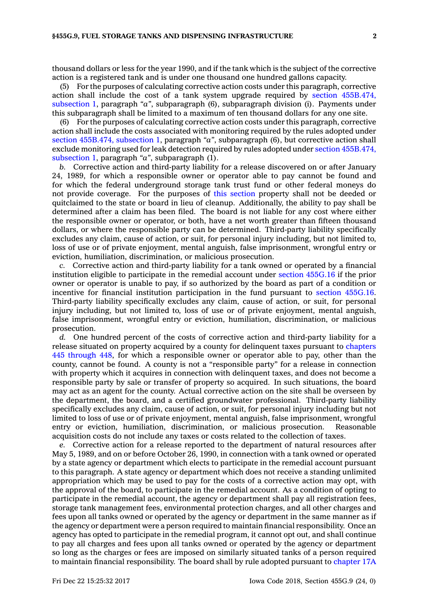thousand dollars or less for the year 1990, and if the tank which is the subject of the corrective action is <sup>a</sup> registered tank and is under one thousand one hundred gallons capacity.

(5) For the purposes of calculating corrective action costs under this paragraph, corrective action shall include the cost of <sup>a</sup> tank system upgrade required by section [455B.474,](https://www.legis.iowa.gov/docs/code/455B.474.pdf) [subsection](https://www.legis.iowa.gov/docs/code/455B.474.pdf) 1, paragraph *"a"*, subparagraph (6), subparagraph division (i). Payments under this subparagraph shall be limited to <sup>a</sup> maximum of ten thousand dollars for any one site.

(6) For the purposes of calculating corrective action costs under this paragraph, corrective action shall include the costs associated with monitoring required by the rules adopted under section [455B.474,](https://www.legis.iowa.gov/docs/code/455B.474.pdf) subsection 1, paragraph *"a"*, subparagraph (6), but corrective action shall exclude monitoring used for leak detection required by rules adopted under section [455B.474,](https://www.legis.iowa.gov/docs/code/455B.474.pdf) [subsection](https://www.legis.iowa.gov/docs/code/455B.474.pdf) 1, paragraph *"a"*, subparagraph (1).

*b.* Corrective action and third-party liability for <sup>a</sup> release discovered on or after January 24, 1989, for which <sup>a</sup> responsible owner or operator able to pay cannot be found and for which the federal underground storage tank trust fund or other federal moneys do not provide coverage. For the purposes of this [section](https://www.legis.iowa.gov/docs/code/455G.9.pdf) property shall not be deeded or quitclaimed to the state or board in lieu of cleanup. Additionally, the ability to pay shall be determined after <sup>a</sup> claim has been filed. The board is not liable for any cost where either the responsible owner or operator, or both, have <sup>a</sup> net worth greater than fifteen thousand dollars, or where the responsible party can be determined. Third-party liability specifically excludes any claim, cause of action, or suit, for personal injury including, but not limited to, loss of use or of private enjoyment, mental anguish, false imprisonment, wrongful entry or eviction, humiliation, discrimination, or malicious prosecution.

*c.* Corrective action and third-party liability for <sup>a</sup> tank owned or operated by <sup>a</sup> financial institution eligible to participate in the remedial account under section [455G.16](https://www.legis.iowa.gov/docs/code/455G.16.pdf) if the prior owner or operator is unable to pay, if so authorized by the board as part of <sup>a</sup> condition or incentive for financial institution participation in the fund pursuant to section [455G.16](https://www.legis.iowa.gov/docs/code/455G.16.pdf). Third-party liability specifically excludes any claim, cause of action, or suit, for personal injury including, but not limited to, loss of use or of private enjoyment, mental anguish, false imprisonment, wrongful entry or eviction, humiliation, discrimination, or malicious prosecution.

*d.* One hundred percent of the costs of corrective action and third-party liability for <sup>a</sup> release situated on property acquired by <sup>a</sup> county for delinquent taxes pursuant to [chapters](https://www.legis.iowa.gov/docs/code/445.pdf) 445 [through](https://www.legis.iowa.gov/docs/code/445.pdf) 448, for which <sup>a</sup> responsible owner or operator able to pay, other than the county, cannot be found. A county is not <sup>a</sup> "responsible party" for <sup>a</sup> release in connection with property which it acquires in connection with delinquent taxes, and does not become <sup>a</sup> responsible party by sale or transfer of property so acquired. In such situations, the board may act as an agent for the county. Actual corrective action on the site shall be overseen by the department, the board, and <sup>a</sup> certified groundwater professional. Third-party liability specifically excludes any claim, cause of action, or suit, for personal injury including but not limited to loss of use or of private enjoyment, mental anguish, false imprisonment, wrongful entry or eviction, humiliation, discrimination, or malicious prosecution. Reasonable acquisition costs do not include any taxes or costs related to the collection of taxes.

*e.* Corrective action for <sup>a</sup> release reported to the department of natural resources after May 5, 1989, and on or before October 26, 1990, in connection with <sup>a</sup> tank owned or operated by <sup>a</sup> state agency or department which elects to participate in the remedial account pursuant to this paragraph. A state agency or department which does not receive <sup>a</sup> standing unlimited appropriation which may be used to pay for the costs of <sup>a</sup> corrective action may opt, with the approval of the board, to participate in the remedial account. As <sup>a</sup> condition of opting to participate in the remedial account, the agency or department shall pay all registration fees, storage tank management fees, environmental protection charges, and all other charges and fees upon all tanks owned or operated by the agency or department in the same manner as if the agency or department were <sup>a</sup> person required to maintain financial responsibility. Once an agency has opted to participate in the remedial program, it cannot opt out, and shall continue to pay all charges and fees upon all tanks owned or operated by the agency or department so long as the charges or fees are imposed on similarly situated tanks of <sup>a</sup> person required to maintain financial responsibility. The board shall by rule adopted pursuant to [chapter](https://www.legis.iowa.gov/docs/code//17A.pdf) 17A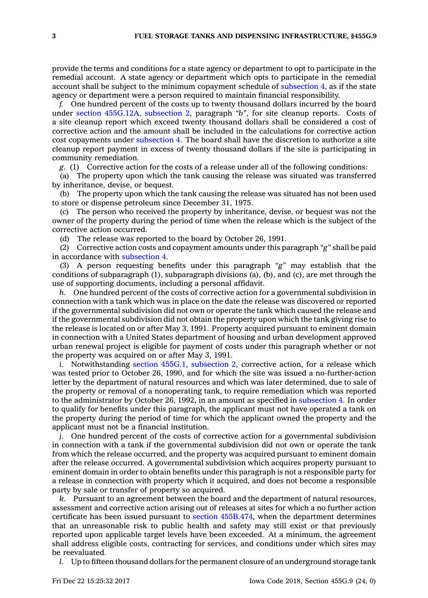provide the terms and conditions for <sup>a</sup> state agency or department to opt to participate in the remedial account. A state agency or department which opts to participate in the remedial account shall be subject to the minimum copayment schedule of [subsection](https://www.legis.iowa.gov/docs/code/455G.9.pdf) 4, as if the state agency or department were <sup>a</sup> person required to maintain financial responsibility.

*f.* One hundred percent of the costs up to twenty thousand dollars incurred by the board under section [455G.12A,](https://www.legis.iowa.gov/docs/code/455G.12A.pdf) subsection 2, paragraph *"b"*, for site cleanup reports. Costs of <sup>a</sup> site cleanup report which exceed twenty thousand dollars shall be considered <sup>a</sup> cost of corrective action and the amount shall be included in the calculations for corrective action cost copayments under [subsection](https://www.legis.iowa.gov/docs/code/455G.9.pdf) 4. The board shall have the discretion to authorize <sup>a</sup> site cleanup report payment in excess of twenty thousand dollars if the site is participating in community remediation.

*g.* (1) Corrective action for the costs of <sup>a</sup> release under all of the following conditions:

(a) The property upon which the tank causing the release was situated was transferred by inheritance, devise, or bequest.

(b) The property upon which the tank causing the release was situated has not been used to store or dispense petroleum since December 31, 1975.

(c) The person who received the property by inheritance, devise, or bequest was not the owner of the property during the period of time when the release which is the subject of the corrective action occurred.

(d) The release was reported to the board by October 26, 1991.

(2) Corrective action costs and copayment amounts under this paragraph *"g"* shall be paid in accordance with [subsection](https://www.legis.iowa.gov/docs/code/455G.9.pdf) 4.

(3) A person requesting benefits under this paragraph *"g"* may establish that the conditions of subparagraph (1), subparagraph divisions (a), (b), and (c), are met through the use of supporting documents, including <sup>a</sup> personal affidavit.

*h.* One hundred percent of the costs of corrective action for <sup>a</sup> governmental subdivision in connection with <sup>a</sup> tank which was in place on the date the release was discovered or reported if the governmental subdivision did not own or operate the tank which caused the release and if the governmental subdivision did not obtain the property upon which the tank giving rise to the release is located on or after May 3, 1991. Property acquired pursuant to eminent domain in connection with <sup>a</sup> United States department of housing and urban development approved urban renewal project is eligible for payment of costs under this paragraph whether or not the property was acquired on or after May 3, 1991.

*i.* Notwithstanding section 455G.1, [subsection](https://www.legis.iowa.gov/docs/code/455G.1.pdf) 2, corrective action, for <sup>a</sup> release which was tested prior to October 26, 1990, and for which the site was issued <sup>a</sup> no-further-action letter by the department of natural resources and which was later determined, due to sale of the property or removal of <sup>a</sup> nonoperating tank, to require remediation which was reported to the administrator by October 26, 1992, in an amount as specified in [subsection](https://www.legis.iowa.gov/docs/code/455G.9.pdf) 4. In order to qualify for benefits under this paragraph, the applicant must not have operated <sup>a</sup> tank on the property during the period of time for which the applicant owned the property and the applicant must not be <sup>a</sup> financial institution.

*j.* One hundred percent of the costs of corrective action for a governmental subdivision in connection with <sup>a</sup> tank if the governmental subdivision did not own or operate the tank from which the release occurred, and the property was acquired pursuant to eminent domain after the release occurred. A governmental subdivision which acquires property pursuant to eminent domain in order to obtain benefits under this paragraph is not <sup>a</sup> responsible party for <sup>a</sup> release in connection with property which it acquired, and does not become <sup>a</sup> responsible party by sale or transfer of property so acquired.

*k.* Pursuant to an agreement between the board and the department of natural resources, assessment and corrective action arising out of releases at sites for which <sup>a</sup> no further action certificate has been issued pursuant to section [455B.474](https://www.legis.iowa.gov/docs/code/455B.474.pdf), when the department determines that an unreasonable risk to public health and safety may still exist or that previously reported upon applicable target levels have been exceeded. At <sup>a</sup> minimum, the agreement shall address eligible costs, contracting for services, and conditions under which sites may be reevaluated.

*l.* Up to fifteen thousand dollars for the permanent closure of an underground storage tank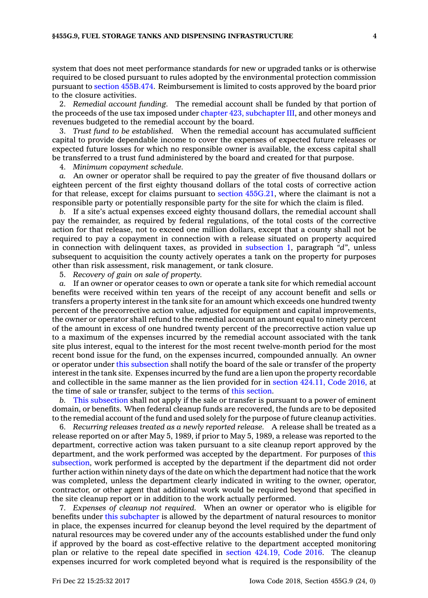system that does not meet performance standards for new or upgraded tanks or is otherwise required to be closed pursuant to rules adopted by the environmental protection commission pursuant to section [455B.474](https://www.legis.iowa.gov/docs/code/455B.474.pdf). Reimbursement is limited to costs approved by the board prior to the closure activities.

2. *Remedial account funding.* The remedial account shall be funded by that portion of the proceeds of the use tax imposed under chapter 423, [subchapter](https://www.legis.iowa.gov/docs/code//423.pdf) III, and other moneys and revenues budgeted to the remedial account by the board.

3. *Trust fund to be established.* When the remedial account has accumulated sufficient capital to provide dependable income to cover the expenses of expected future releases or expected future losses for which no responsible owner is available, the excess capital shall be transferred to <sup>a</sup> trust fund administered by the board and created for that purpose.

4. *Minimum copayment schedule.*

*a.* An owner or operator shall be required to pay the greater of five thousand dollars or eighteen percent of the first eighty thousand dollars of the total costs of corrective action for that release, except for claims pursuant to section [455G.21](https://www.legis.iowa.gov/docs/code/455G.21.pdf), where the claimant is not <sup>a</sup> responsible party or potentially responsible party for the site for which the claim is filed.

*b.* If <sup>a</sup> site's actual expenses exceed eighty thousand dollars, the remedial account shall pay the remainder, as required by federal regulations, of the total costs of the corrective action for that release, not to exceed one million dollars, except that <sup>a</sup> county shall not be required to pay <sup>a</sup> copayment in connection with <sup>a</sup> release situated on property acquired in connection with delinquent taxes, as provided in [subsection](https://www.legis.iowa.gov/docs/code/455G.9.pdf) 1, paragraph *"d"*, unless subsequent to acquisition the county actively operates <sup>a</sup> tank on the property for purposes other than risk assessment, risk management, or tank closure.

5. *Recovery of gain on sale of property.*

*a.* If an owner or operator ceases to own or operate <sup>a</sup> tank site for which remedial account benefits were received within ten years of the receipt of any account benefit and sells or transfers <sup>a</sup> property interest in the tank site for an amount which exceeds one hundred twenty percent of the precorrective action value, adjusted for equipment and capital improvements, the owner or operator shall refund to the remedial account an amount equal to ninety percent of the amount in excess of one hundred twenty percent of the precorrective action value up to <sup>a</sup> maximum of the expenses incurred by the remedial account associated with the tank site plus interest, equal to the interest for the most recent twelve-month period for the most recent bond issue for the fund, on the expenses incurred, compounded annually. An owner or operator under this [subsection](https://www.legis.iowa.gov/docs/code/455G.9.pdf) shall notify the board of the sale or transfer of the property interest in the tank site. Expenses incurred by the fund are <sup>a</sup> lien upon the property recordable and collectible in the same manner as the lien provided for in section [424.11,](https://www.legis.iowa.gov/docs/code/2016/424.11.pdf) Code 2016, at the time of sale or transfer, subject to the terms of this [section](https://www.legis.iowa.gov/docs/code/455G.9.pdf).

*b.* This [subsection](https://www.legis.iowa.gov/docs/code/455G.9.pdf) shall not apply if the sale or transfer is pursuant to <sup>a</sup> power of eminent domain, or benefits. When federal cleanup funds are recovered, the funds are to be deposited to the remedial account of the fund and used solely for the purpose of future cleanup activities.

6. *Recurring releases treated as <sup>a</sup> newly reported release.* A release shall be treated as <sup>a</sup> release reported on or after May 5, 1989, if prior to May 5, 1989, <sup>a</sup> release was reported to the department, corrective action was taken pursuant to <sup>a</sup> site cleanup report approved by the department, and the work performed was accepted by the department. For purposes of [this](https://www.legis.iowa.gov/docs/code/455G.9.pdf) [subsection](https://www.legis.iowa.gov/docs/code/455G.9.pdf), work performed is accepted by the department if the department did not order further action within ninety days of the date on which the department had notice that the work was completed, unless the department clearly indicated in writing to the owner, operator, contractor, or other agent that additional work would be required beyond that specified in the site cleanup report or in addition to the work actually performed.

7. *Expenses of cleanup not required.* When an owner or operator who is eligible for benefits under this [subchapter](https://www.legis.iowa.gov/docs/code//455G.pdf) is allowed by the department of natural resources to monitor in place, the expenses incurred for cleanup beyond the level required by the department of natural resources may be covered under any of the accounts established under the fund only if approved by the board as cost-effective relative to the department accepted monitoring plan or relative to the repeal date specified in section [424.19,](https://www.legis.iowa.gov/docs/code/2016/424.19.pdf) Code 2016. The cleanup expenses incurred for work completed beyond what is required is the responsibility of the